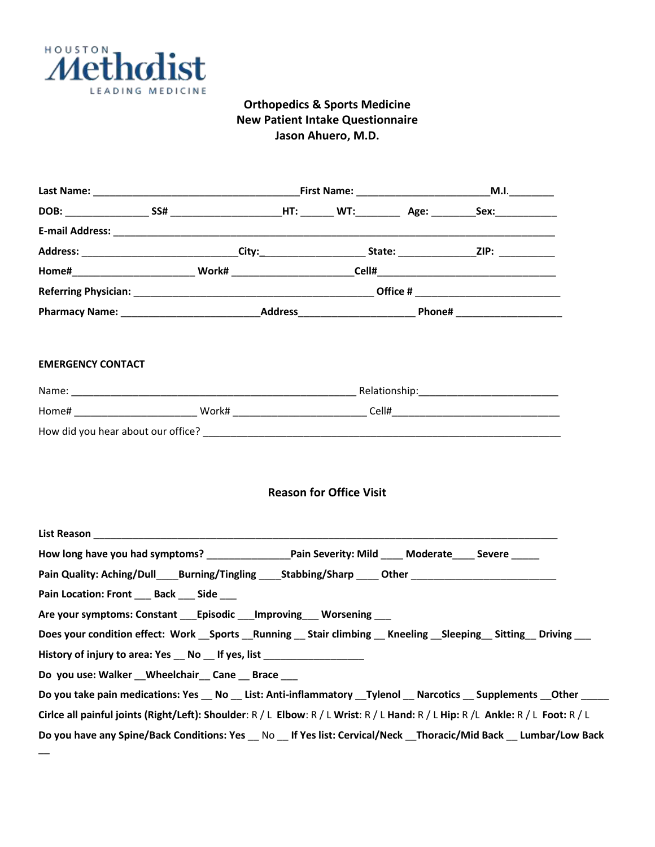

## **Orthopedics & Sports Medicine New Patient Intake Questionnaire Jason Ahuero, M.D.**

| Address: ______________________________City:________________________State: ___________________________________ |  |  |  |  |                                                                                                                                  |  |
|----------------------------------------------------------------------------------------------------------------|--|--|--|--|----------------------------------------------------------------------------------------------------------------------------------|--|
|                                                                                                                |  |  |  |  |                                                                                                                                  |  |
|                                                                                                                |  |  |  |  |                                                                                                                                  |  |
|                                                                                                                |  |  |  |  |                                                                                                                                  |  |
| <b>EMERGENCY CONTACT</b>                                                                                       |  |  |  |  |                                                                                                                                  |  |
|                                                                                                                |  |  |  |  |                                                                                                                                  |  |
|                                                                                                                |  |  |  |  |                                                                                                                                  |  |
|                                                                                                                |  |  |  |  |                                                                                                                                  |  |
|                                                                                                                |  |  |  |  |                                                                                                                                  |  |
|                                                                                                                |  |  |  |  |                                                                                                                                  |  |
| Pain Quality: Aching/Dull______Burning/Tingling _________________________________                              |  |  |  |  |                                                                                                                                  |  |
| Pain Location: Front ___ Back ___ Side ___                                                                     |  |  |  |  |                                                                                                                                  |  |
| Are your symptoms: Constant Episodic Improving Worsening                                                       |  |  |  |  |                                                                                                                                  |  |
|                                                                                                                |  |  |  |  | Does your condition effect: Work Sports Running _ Stair climbing _ Kneeling _Sleeping _ Sitting _Driving __                      |  |
| History of injury to area: Yes _ No _ If yes, list _____________________________                               |  |  |  |  |                                                                                                                                  |  |
| Do you use: Walker Wheelchair Cane Brace                                                                       |  |  |  |  |                                                                                                                                  |  |
|                                                                                                                |  |  |  |  | Do you take pain medications: Yes No List: Anti-inflammatory Tylenol Narcotics Supplements Other                                 |  |
|                                                                                                                |  |  |  |  | Cirlce all painful joints (Right/Left): Shoulder: R / L Elbow: R / L Wrist: R / L Hand: R / L Hip: R /L Ankle: R / L Foot: R / L |  |
|                                                                                                                |  |  |  |  | Do you have any Spine/Back Conditions: Yes __ No __ If Yes list: Cervical/Neck __Thoracic/Mid Back __ Lumbar/Low Back            |  |
|                                                                                                                |  |  |  |  |                                                                                                                                  |  |